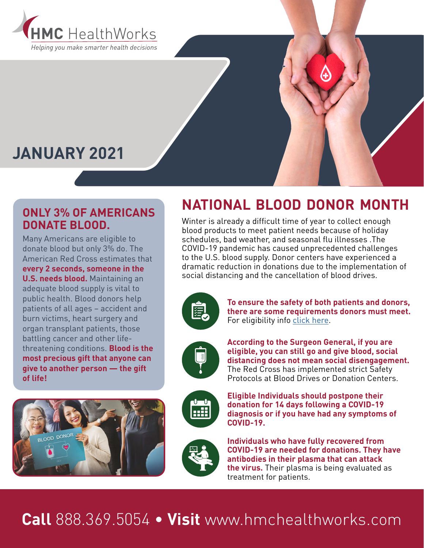

# **JANUARY 2021**

### **ONLY 3% OF AMERICANS DONATE BLOOD.**

Many Americans are eligible to donate blood but only 3% do. The American Red Cross estimates that **every 2 seconds, someone in the U.S. needs blood.** Maintaining an adequate blood supply is vital to public health. Blood donors help patients of all ages – accident and burn victims, heart surgery and organ transplant patients, those battling cancer and other lifethreatening conditions. **Blood is the most precious gift that anyone can give to another person — the gift of life!**



### **NATIONAL BLOOD DONOR MONTH**

Winter is already a difficult time of year to collect enough blood products to meet patient needs because of holiday schedules, bad weather, and seasonal flu illnesses .The COVID-19 pandemic has caused unprecedented challenges to the U.S. blood supply. Donor centers have experienced a dramatic reduction in donations due to the implementation of social distancing and the cancellation of blood drives.



**To ensure the safety of both patients and donors, there are some requirements donors must meet.** For eligibility info [click here.](https://www.redcrossblood.org/donate-blood/how-to-donate/eligibility-requirements.html)



**According to the Surgeon General, if you are eligible, you can still go and give blood, social distancing does not mean social disengagement.**  The Red Cross has implemented strict Safety Protocols at Blood Drives or Donation Centers.



**Eligible Individuals should postpone their donation for 14 days following a COVID-19 diagnosis or if you have had any symptoms of COVID-19.**



**Individuals who have fully recovered from COVID-19 are needed for donations. They have antibodies in their plasma that can attack the virus.** Their plasma is being evaluated as treatment for patients.

# **Call** 888.369.5054 • **Visit** www.hmchealthworks.com